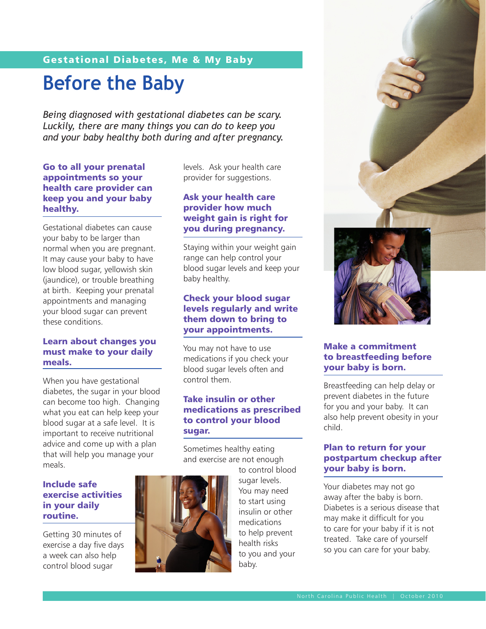# Gestational Diabetes, Me & My Baby

# **Before the Baby**

*Being diagnosed with gestational diabetes can be scary. Luckily, there are many things you can do to keep you and your baby healthy both during and after pregnancy.*

#### Go to all your prenatal appointments so your health care provider can keep you and your baby healthy.

Gestational diabetes can cause your baby to be larger than normal when you are pregnant. It may cause your baby to have low blood sugar, yellowish skin (jaundice), or trouble breathing at birth. Keeping your prenatal appointments and managing your blood sugar can prevent these conditions.

#### Learn about changes you must make to your daily meals.

When you have gestational diabetes, the sugar in your blood can become too high. Changing what you eat can help keep your blood sugar at a safe level. It is important to receive nutritional advice and come up with a plan that will help you manage your meals.

#### Include safe exercise activities in your daily routine.

Getting 30 minutes of exercise a day five days a week can also help control blood sugar



### Ask your health care provider how much weight gain is right for you during pregnancy.

Staying within your weight gain range can help control your blood sugar levels and keep your baby healthy.

#### Check your blood sugar levels regularly and write them down to bring to your appointments.

You may not have to use medications if you check your blood sugar levels often and control them.

#### Take insulin or other medications as prescribed to control your blood sugar.

Sometimes healthy eating and exercise are not enough

to control blood sugar levels. You may need to start using insulin or other medications to help prevent health risks to you and your baby.



#### Make a commitment to breastfeeding before your baby is born.

Breastfeeding can help delay or prevent diabetes in the future for you and your baby. It can also help prevent obesity in your child.

#### Plan to return for your postpartum checkup after your baby is born.

Your diabetes may not go away after the baby is born. Diabetes is a serious disease that may make it difficult for you to care for your baby if it is not treated. Take care of yourself so you can care for your baby.